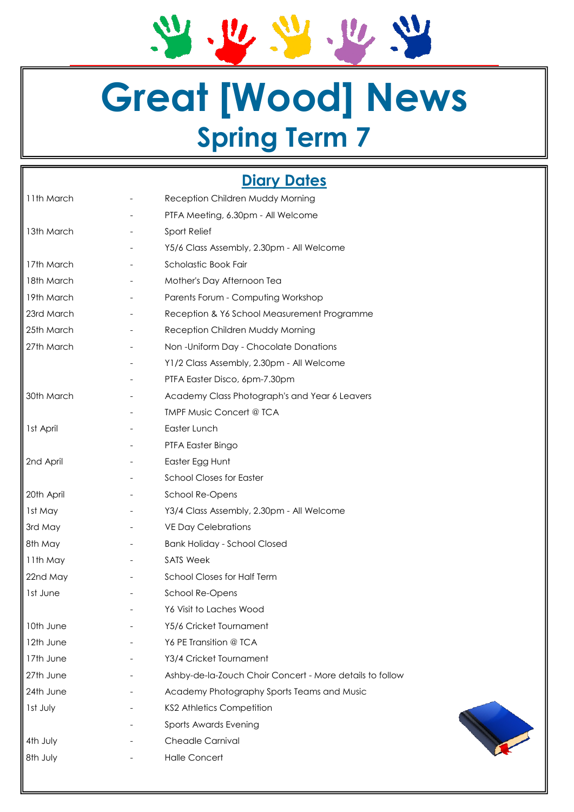2.2.2.2.2

# **Great [Wood] News Spring Term 7**

# **Diary Dates**

| 11th March | Reception Children Muddy Morning                         |
|------------|----------------------------------------------------------|
|            | PTFA Meeting, 6.30pm - All Welcome                       |
| 13th March | Sport Relief                                             |
|            | Y5/6 Class Assembly, 2.30pm - All Welcome                |
| 17th March | Scholastic Book Fair                                     |
| 18th March | Mother's Day Afternoon Tea                               |
| 19th March | Parents Forum - Computing Workshop                       |
| 23rd March | Reception & Y6 School Measurement Programme              |
| 25th March | Reception Children Muddy Morning                         |
| 27th March | Non-Uniform Day - Chocolate Donations                    |
|            | Y1/2 Class Assembly, 2.30pm - All Welcome                |
|            | PTFA Easter Disco, 6pm-7.30pm                            |
| 30th March | Academy Class Photograph's and Year 6 Leavers            |
|            | <b>TMPF Music Concert @ TCA</b>                          |
| 1st April  | Easter Lunch                                             |
|            | PTFA Easter Bingo                                        |
| 2nd April  | Easter Egg Hunt                                          |
|            | <b>School Closes for Easter</b>                          |
| 20th April | School Re-Opens                                          |
| 1st May    | Y3/4 Class Assembly, 2.30pm - All Welcome                |
| 3rd May    | <b>VE Day Celebrations</b>                               |
| 8th May    | <b>Bank Holiday - School Closed</b>                      |
| 11th May   | <b>SATS Week</b>                                         |
| 22nd May   | <b>School Closes for Half Term</b>                       |
| 1st June   | School Re-Opens                                          |
|            | Y6 Visit to Laches Wood                                  |
| 10th June  | Y5/6 Cricket Tournament                                  |
| 12th June  | Y6 PE Transition @ TCA                                   |
| 17th June  | Y3/4 Cricket Tournament                                  |
| 27th June  | Ashby-de-la-Zouch Choir Concert - More details to follow |
| 24th June  | Academy Photography Sports Teams and Music               |
| Ist July   | <b>KS2 Athletics Competition</b>                         |
|            | Sports Awards Evening                                    |
| 4th July   | <b>Cheadle Carnival</b>                                  |
| 8th July   | <b>Halle Concert</b>                                     |
|            |                                                          |

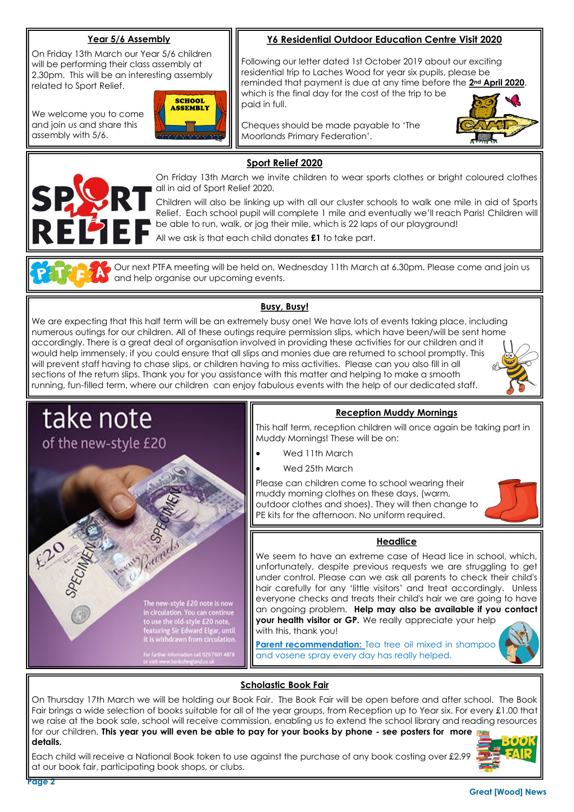## **Year 5/6 Assembly**

On Friday 13th March our Year 5/6 children will be performing their class assembly at 2.30pm. This will be an interesting assembly related to Sport Relief.

We welcome you to come and join us and share this assembly with 5/6.



**Y6 Residential Outdoor Education Centre Visit 2020**

Following our letter dated 1st October 2019 about our exciting residential trip to Laches Wood for year six pupils, please be reminded that payment is due at any time before the **2nd April 2020**, which is the final day for the cost of the trip to be paid in full.

Cheques should be made payable to 'The Moorlands Primary Federation'.



# **Sport Relief 2020**



On Friday 13th March we invite children to wear sports clothes or bright coloured clothes all in aid of Sport Relief 2020.

Children will also be linking up with all our cluster schools to walk one mile in aid of Sports Relief. Each school pupil will complete 1 mile and eventually we'll reach Paris! Children will be able to run, walk, or jog their mile, which is 22 laps of our playground!

All we ask is that each child donates **£1** to take part.

Our next PTFA meeting will be held on, Wednesday 11th March at 6.30pm. Please come and join us and help organise our upcoming events.

### **Busy, Busy!**

We are expecting that this half term will be an extremely busy one! We have lots of events taking place, including numerous outings for our children. All of these outings require permission slips, which have been/will be sent home accordingly. There is a great deal of organisation involved in providing these activities for our children and it would help immensely, if you could ensure that all slips and monies due are returned to school promptly. This will prevent staff having to chase slips, or children having to miss activities. Please can you also fill in all sections of the return slips. Thank you for you assistance with this matter and helping to make a smooth running, fun-filled term, where our children can enjoy fabulous events with the help of our dedicated staff.





#### On Thursday 17th March we will be holding our Book Fair. The Book Fair will be open before and after school. The Book Fair brings a wide selection of books suitable for all of the year groups, from Reception up to Year six. For every £1.00 that we raise at the book sale, school will receive commission, enabling us to extend the school library and reading resources for our children. **This year you will even be able to pay for your books by phone - see posters for more details.**

Each child will receive a National Book token to use against the purchase of any book costing over £2.99 at our book fair, participating book shops, or clubs.